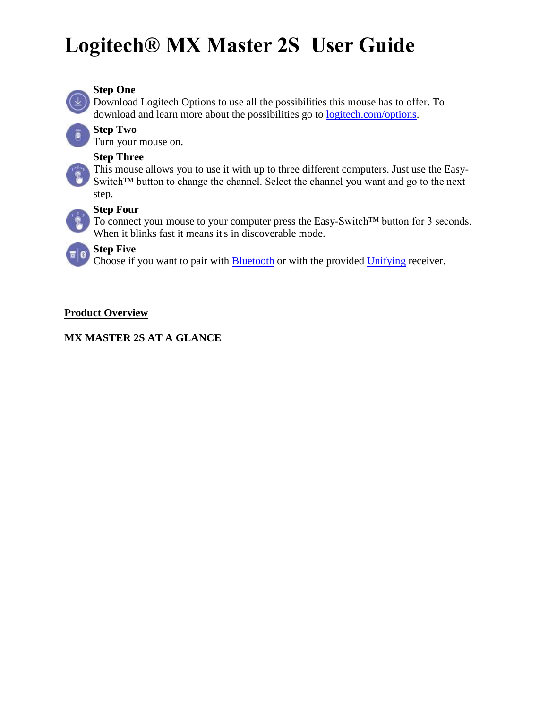

### **Step One**

Download Logitech Options to use all the possibilities this mouse has to offer. To download and learn more about the possibilities go to [logitech.com/options.](http://logitech.com/options)

### **Step Two**

Turn your mouse on.

#### **Step Three**

This mouse allows you to use it with up to three different computers. Just use the Easy-Switch™ button to change the channel. Select the channel you want and go to the next step.

### **Step Four**

To connect your mouse to your computer press the Easy-Switch™ button for 3 seconds. When it blinks fast it means it's in discoverable mode.

# **Step Five**

Choose if you want to pair with [Bluetooth](http://support.logitech.com/article/Connect-your-Logitech-Bluetooth-device) or with the provided [Unifying](http://support.logitech.com/article/Connect-your-device-to-a-Logitech-USB-receiver) receiver.

### **Product Overview**

### **MX MASTER 2S AT A GLANCE**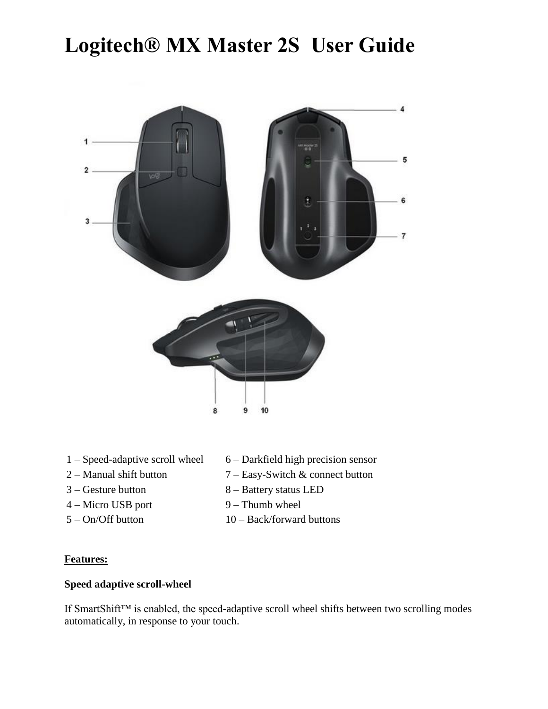

- 
- 
- 
- 
- 
- 1 Speed-adaptive scroll wheel 6 Darkfield high precision sensor
- 2 Manual shift button 7 Easy-Switch & connect button
- 3 Gesture button 8 Battery status LED
- 4 Micro USB port 9 Thumb wheel
- $5 On/O$  f button  $10 Back/forward$  buttons

#### **Features:**

### **Speed adaptive scroll-wheel**

If SmartShift™ is enabled, the speed-adaptive scroll wheel shifts between two scrolling modes automatically, in response to your touch.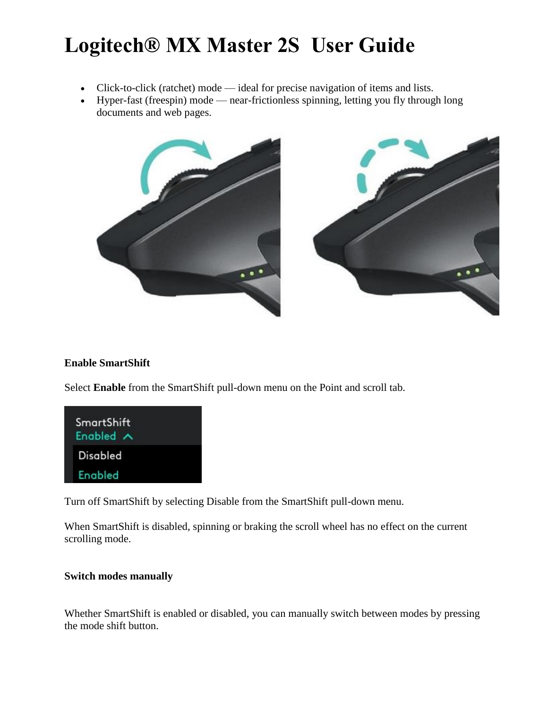- Click-to-click (ratchet) mode ideal for precise navigation of items and lists.
- Hyper-fast (freespin) mode near-frictionless spinning, letting you fly through long documents and web pages.



### **Enable SmartShift**

Select **Enable** from the SmartShift pull-down menu on the Point and scroll tab.



Turn off SmartShift by selecting Disable from the SmartShift pull-down menu.

When SmartShift is disabled, spinning or braking the scroll wheel has no effect on the current scrolling mode.

### **Switch modes manually**

Whether SmartShift is enabled or disabled, you can manually switch between modes by pressing the mode shift button.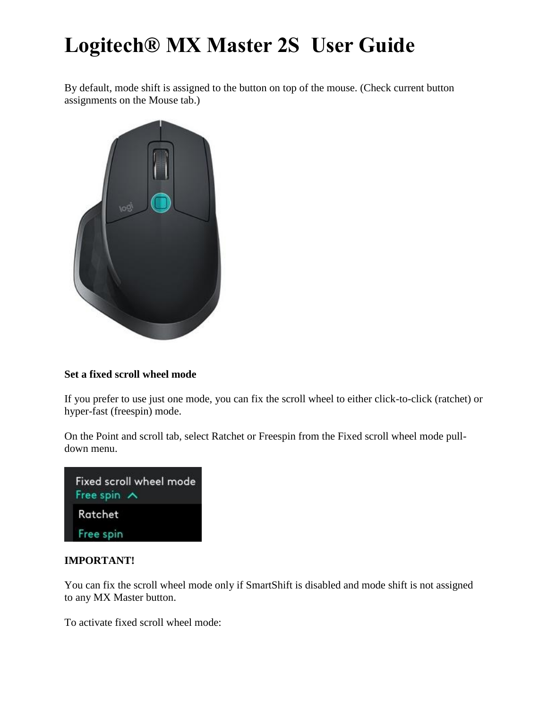By default, mode shift is assigned to the button on top of the mouse. (Check current button assignments on the Mouse tab.)



### **Set a fixed scroll wheel mode**

If you prefer to use just one mode, you can fix the scroll wheel to either click-to-click (ratchet) or hyper-fast (freespin) mode.

On the Point and scroll tab, select Ratchet or Freespin from the Fixed scroll wheel mode pulldown menu.

| Fixed scroll wheel mode<br>Free spin A |
|----------------------------------------|
| Ratchet                                |
| Free spin                              |

#### **IMPORTANT!**

You can fix the scroll wheel mode only if SmartShift is disabled and mode shift is not assigned to any MX Master button.

To activate fixed scroll wheel mode: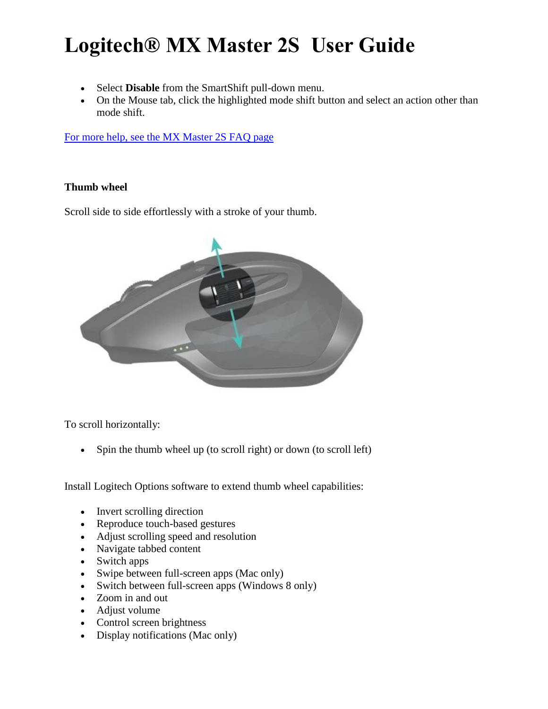- Select **Disable** from the SmartShift pull-down menu.
- On the Mouse tab, click the highlighted mode shift button and select an action other than mode shift.

[For more help, see the MX Master 2S FAQ page](http://support.logitech.com/en_us/product/mx-master-2s-flow/faq)

### **Thumb wheel**

Scroll side to side effortlessly with a stroke of your thumb.



To scroll horizontally:

• Spin the thumb wheel up (to scroll right) or down (to scroll left)

Install Logitech Options software to extend thumb wheel capabilities:

- Invert scrolling direction
- Reproduce touch-based gestures
- Adjust scrolling speed and resolution
- Navigate tabbed content
- Switch apps
- Swipe between full-screen apps (Mac only)
- Switch between full-screen apps (Windows 8 only)
- Zoom in and out
- Adjust volume
- Control screen brightness
- Display notifications (Mac only)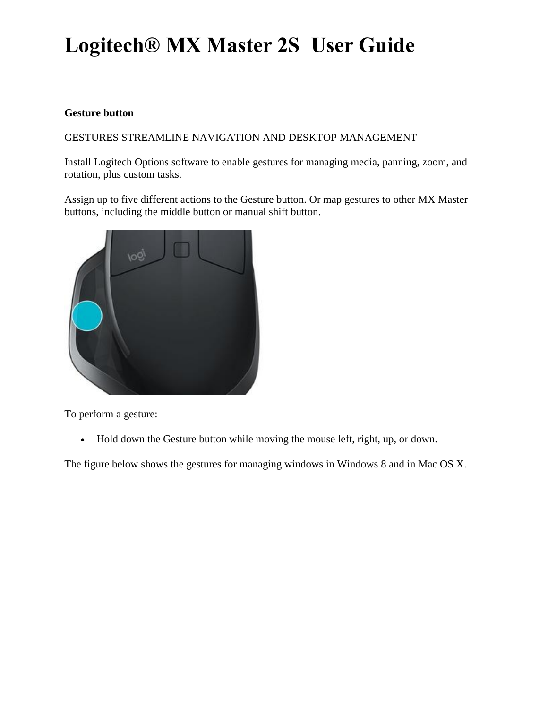#### **Gesture button**

GESTURES STREAMLINE NAVIGATION AND DESKTOP MANAGEMENT

Install Logitech Options software to enable gestures for managing media, panning, zoom, and rotation, plus custom tasks.

Assign up to five different actions to the Gesture button. Or map gestures to other MX Master buttons, including the middle button or manual shift button.



To perform a gesture:

• Hold down the Gesture button while moving the mouse left, right, up, or down.

The figure below shows the gestures for managing windows in Windows 8 and in Mac OS X.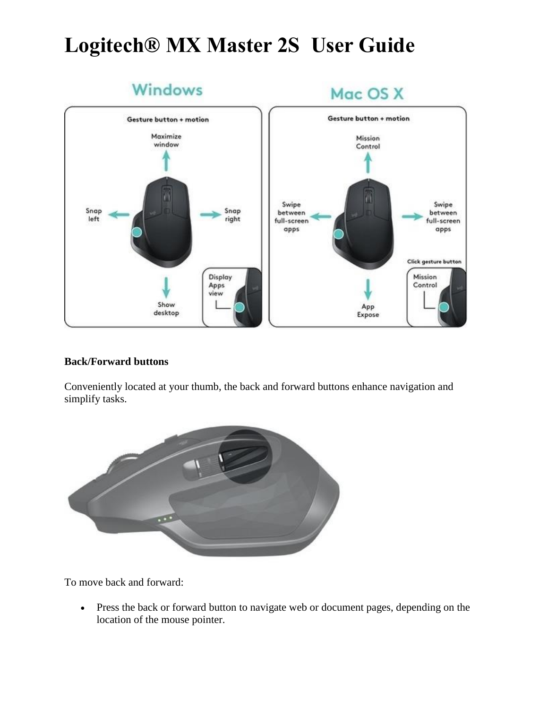

#### **Back/Forward buttons**

Conveniently located at your thumb, the back and forward buttons enhance navigation and simplify tasks.



To move back and forward:

 Press the back or forward button to navigate web or document pages, depending on the location of the mouse pointer.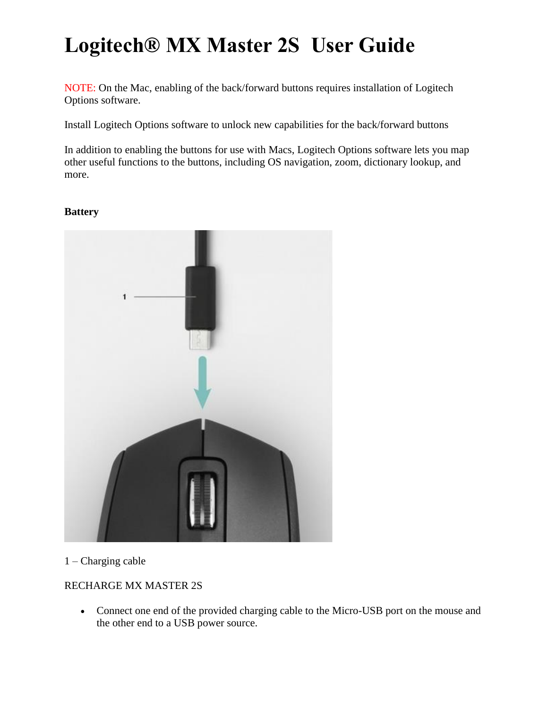NOTE: On the Mac, enabling of the back/forward buttons requires installation of Logitech Options software.

Install Logitech Options software to unlock new capabilities for the back/forward buttons

In addition to enabling the buttons for use with Macs, Logitech Options software lets you map other useful functions to the buttons, including OS navigation, zoom, dictionary lookup, and more.

#### **Battery**



1 – Charging cable

## RECHARGE MX MASTER 2S

 Connect one end of the provided charging cable to the Micro-USB port on the mouse and the other end to a USB power source.